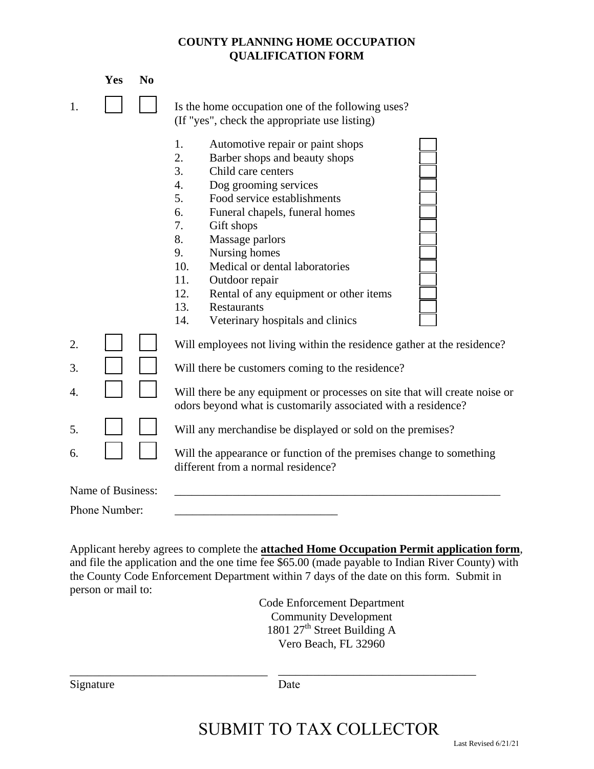### **COUNTY PLANNING HOME OCCUPATION QUALIFICATION FORM**

|                            | Yes               | N <sub>0</sub> |                                                                                                                                                                                                                                                                                                                                                                                                                                                                                                                                                                                                                                                                                                                                                                                                                                                                                                                                               |
|----------------------------|-------------------|----------------|-----------------------------------------------------------------------------------------------------------------------------------------------------------------------------------------------------------------------------------------------------------------------------------------------------------------------------------------------------------------------------------------------------------------------------------------------------------------------------------------------------------------------------------------------------------------------------------------------------------------------------------------------------------------------------------------------------------------------------------------------------------------------------------------------------------------------------------------------------------------------------------------------------------------------------------------------|
| 1.                         |                   |                | Is the home occupation one of the following uses?<br>(If "yes", check the appropriate use listing)                                                                                                                                                                                                                                                                                                                                                                                                                                                                                                                                                                                                                                                                                                                                                                                                                                            |
| 2.<br>3.<br>4.<br>5.<br>6. |                   |                | Automotive repair or paint shops<br>1.<br>2.<br>Barber shops and beauty shops<br>3.<br>Child care centers<br>Dog grooming services<br>4.<br>Food service establishments<br>5.<br>6.<br>Funeral chapels, funeral homes<br>Gift shops<br>7.<br>8.<br>Massage parlors<br>9.<br>Nursing homes<br>10.<br>Medical or dental laboratories<br>11.<br>Outdoor repair<br>12.<br>Rental of any equipment or other items<br>13.<br><b>Restaurants</b><br>Veterinary hospitals and clinics<br>14.<br>Will employees not living within the residence gather at the residence?<br>Will there be customers coming to the residence?<br>Will there be any equipment or processes on site that will create noise or<br>odors beyond what is customarily associated with a residence?<br>Will any merchandise be displayed or sold on the premises?<br>Will the appearance or function of the premises change to something<br>different from a normal residence? |
|                            | Name of Business: |                |                                                                                                                                                                                                                                                                                                                                                                                                                                                                                                                                                                                                                                                                                                                                                                                                                                                                                                                                               |
|                            | Phone Number:     |                |                                                                                                                                                                                                                                                                                                                                                                                                                                                                                                                                                                                                                                                                                                                                                                                                                                                                                                                                               |

Applicant hereby agrees to complete the **attached Home Occupation Permit application form**, and file the application and the one time fee \$65.00 (made payable to Indian River County) with the County Code Enforcement Department within 7 days of the date on this form. Submit in person or mail to:

> Code Enforcement Department Community Development 1801  $27<sup>th</sup>$  Street Building A Vero Beach, FL 32960

> > \_\_\_\_\_\_\_\_\_\_\_\_\_\_\_\_\_\_\_\_\_\_\_\_\_\_\_\_\_\_\_\_\_\_

Signature

\_\_\_\_\_\_\_\_\_\_\_\_\_\_\_\_\_\_\_\_\_\_\_\_\_\_\_\_\_\_\_\_\_\_

Date

# SUBMIT TO TAX COLLECTOR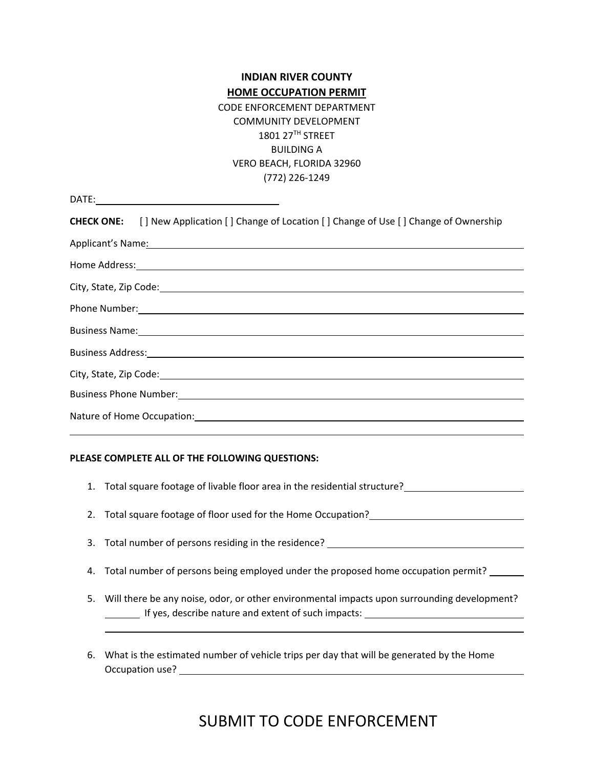## **INDIAN RIVER COUNTY HOME OCCUPATION PERMIT**

CODE ENFORCEMENT DEPARTMENT COMMUNITY DEVELOPMENT 1801 27TH STREET BUILDING A VERO BEACH, FLORIDA 32960 (772) 226-1249

| <b>CHECK ONE:</b> [] New Application [] Change of Location [] Change of Use [] Change of Ownership                                                                                                                             |
|--------------------------------------------------------------------------------------------------------------------------------------------------------------------------------------------------------------------------------|
|                                                                                                                                                                                                                                |
|                                                                                                                                                                                                                                |
| City, State, Zip Code: Call Contract City, State, Zip Code:                                                                                                                                                                    |
| Phone Number: National Accounts of the Contract of the Contract of the Contract of the Contract of the Contract of the Contract of the Contract of the Contract of the Contract of the Contract of the Contract of the Contrac |
|                                                                                                                                                                                                                                |
| Business Address: No. 2014 12:30 12:30 12:30 12:30 12:30 12:30 12:30 12:30 12:30 12:30 12:30 12:30 1                                                                                                                           |
|                                                                                                                                                                                                                                |
|                                                                                                                                                                                                                                |
|                                                                                                                                                                                                                                |
|                                                                                                                                                                                                                                |

#### **PLEASE COMPLETE ALL OF THE FOLLOWING QUESTIONS:**

- 1. Total square footage of livable floor area in the residential structure?
- 2. Total square footage of floor used for the Home Occupation?
- 3. Total number of persons residing in the residence?
- 4. Total number of persons being employed under the proposed home occupation permit?
- 5. Will there be any noise, odor, or other environmental impacts upon surrounding development? If yes, describe nature and extent of such impacts:
- 6. What is the estimated number of vehicle trips per day that will be generated by the Home Occupation use?